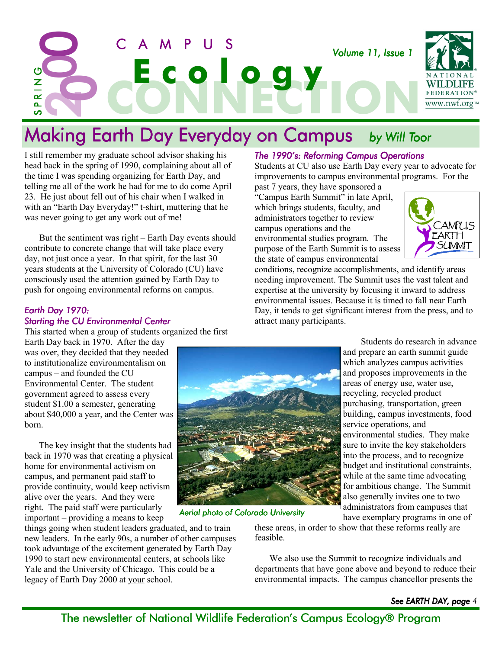

I still remember my graduate school advisor shaking his head back in the spring of 1990, complaining about all of the time I was spending organizing for Earth Day, and telling me all of the work he had for me to do come April 23. He just about fell out of his chair when I walked in with an "Earth Day Everyday!" t-shirt, muttering that he was never going to get any work out of me!

But the sentiment was right – Earth Day events should contribute to concrete change that will take place every day, not just once a year. In that spirit, for the last 30 years students at the University of Colorado (CU) have consciously used the attention gained by Earth Day to push for ongoing environmental reforms on campus.

#### *Earth Day 1970: Starting the CU Environmental Center Center*

This started when a group of students organized the first

Earth Day back in 1970. After the day was over, they decided that they needed to institutionalize environmentalism on  $campus - and founded the CU$ Environmental Center. The student government agreed to assess every student \$1.00 a semester, generating about \$40,000 a year, and the Center was born.

The key insight that the students had back in 1970 was that creating a physical home for environmental activism on campus, and permanent paid staff to provide continuity, would keep activism alive over the years. And they were right. The paid staff were particularly  $important - providing a means to keep$ 

things going when student leaders graduated, and to train new leaders. In the early 90s, a number of other campuses took advantage of the excitement generated by Earth Day 1990 to start new environmental centers, at schools like Yale and the University of Chicago. This could be a legacy of Earth Day 2000 at your school.

#### *The 1990ís: Reforming Campus Operations 1990ís: Operations*

Students at CU also use Earth Day every year to advocate for improvements to campus environmental programs. For the past 7 years, they have sponsored a

"Campus Earth Summit" in late April, which brings students, faculty, and administrators together to review campus operations and the environmental studies program. The purpose of the Earth Summit is to assess the state of campus environmental



conditions, recognize accomplishments, and identify areas needing improvement. The Summit uses the vast talent and expertise at the university by focusing it inward to address environmental issues. Because it is timed to fall near Earth Day, it tends to get significant interest from the press, and to attract many participants.



*Aerial photo of Colorado University of Colorado University*

Students do research in advance and prepare an earth summit guide which analyzes campus activities and proposes improvements in the areas of energy use, water use, recycling, recycled product purchasing, transportation, green building, campus investments, food service operations, and environmental studies. They make sure to invite the key stakeholders into the process, and to recognize budget and institutional constraints, while at the same time advocating for ambitious change. The Summit also generally invites one to two administrators from campuses that have exemplary programs in one of

these areas, in order to show that these reforms really are feasible.

We also use the Summit to recognize individuals and departments that have gone above and beyond to reduce their environmental impacts. The campus chancellor presents the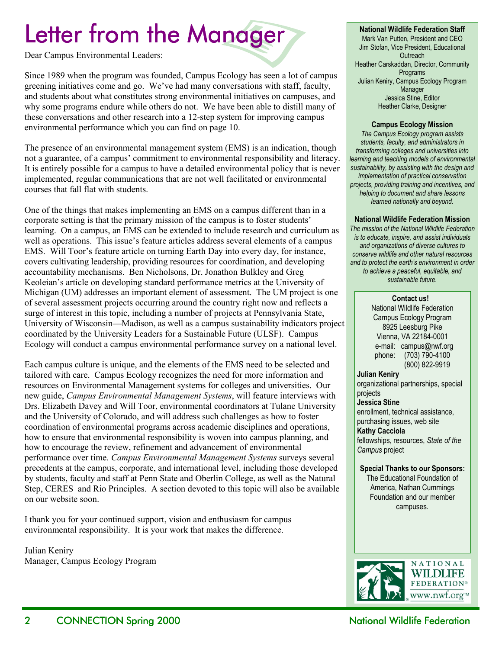## Letter from the Manager

Dear Campus Environmental Leaders:

Since 1989 when the program was founded, Campus Ecology has seen a lot of campus greening initiatives come and go. We've had many conversations with staff, faculty, and students about what constitutes strong environmental initiatives on campuses, and why some programs endure while others do not. We have been able to distill many of these conversations and other research into a 12-step system for improving campus environmental performance which you can find on page 10.

The presence of an environmental management system (EMS) is an indication, though not a guarantee, of a campus' commitment to environmental responsibility and literacy. It is entirely possible for a campus to have a detailed environmental policy that is never implemented, regular communications that are not well facilitated or environmental courses that fall flat with students.

One of the things that makes implementing an EMS on a campus different than in a corporate setting is that the primary mission of the campus is to foster students<sup>'</sup> learning. On a campus, an EMS can be extended to include research and curriculum as well as operations. This issue's feature articles address several elements of a campus EMS. Will Toor's feature article on turning Earth Day into every day, for instance, covers cultivating leadership, providing resources for coordination, and developing accountability mechanisms. Ben Nicholsons, Dr. Jonathon Bulkley and Greg Keoleian's article on developing standard performance metrics at the University of Michigan (UM) addresses an important element of assessment. The UM project is one of several assessment projects occurring around the country right now and reflects a surge of interest in this topic, including a number of projects at Pennsylvania State, University of Wisconsin—Madison, as well as a campus sustainability indicators project coordinated by the University Leaders for a Sustainable Future (ULSF). Campus Ecology will conduct a campus environmental performance survey on a national level.

Each campus culture is unique, and the elements of the EMS need to be selected and tailored with care. Campus Ecology recognizes the need for more information and resources on Environmental Management systems for colleges and universities. Our new guide, *Campus Environmental Management Systems*, will feature interviews with Drs. Elizabeth Davey and Will Toor, environmental coordinators at Tulane University and the University of Colorado, and will address such challenges as how to foster coordination of environmental programs across academic disciplines and operations, how to ensure that environmental responsibility is woven into campus planning, and how to encourage the review, refinement and advancement of environmental performance over time. *Campus Environmental Management Systems* surveys several precedents at the campus, corporate, and international level, including those developed by students, faculty and staff at Penn State and Oberlin College, as well as the Natural Step, CERES and Rio Principles. A section devoted to this topic will also be available on our website soon.

I thank you for your continued support, vision and enthusiasm for campus environmental responsibility. It is your work that makes the difference.

Julian Keniry Manager, Campus Ecology Program

#### **National Wildlife Federation Staff**

Mark Van Putten, President and CEO Jim Stofan, Vice President, Educational **Outreach** Heather Carskaddan, Director, Community Programs Julian Keniry, Campus Ecology Program Manager Jessica Stine, Editor Heather Clarke, Designer

#### **Campus Ecology Mission**

*The Campus Ecology program assists students, faculty, and administrators in transforming colleges and universities into learning and teaching models of environmental sustainability, by assisting with the design and implementation of practical conservation projects, providing training and incentives, and helping to document and share lessons learned nationally and beyond.* 

#### **National Wildlife Federation Mission**

*The mission of the National Wildlife Federation is to educate, inspire, and assist individuals and organizations of diverse cultures to conserve wildlife and other natural resources*  and to protect the earth's environment in order *to achieve a peaceful, equitable, and sustainable future.* 

#### **Contact us!**

National Wildlife Federation Campus Ecology Program 8925 Leesburg Pike Vienna, VA 22184-0001 e-mail: campus@nwf.org phone: (703) 790-4100 (800) 822-9919

**Julian Keniry**  organizational partnerships, special projects **Jessica Stine** enrollment, technical assistance, purchasing issues, web site **Kathy Cacciola**  fellowships, resources, *State of the Campus* project

#### **Special Thanks to our Sponsors:**

The Educational Foundation of America, Nathan Cummings Foundation and our member campuses.

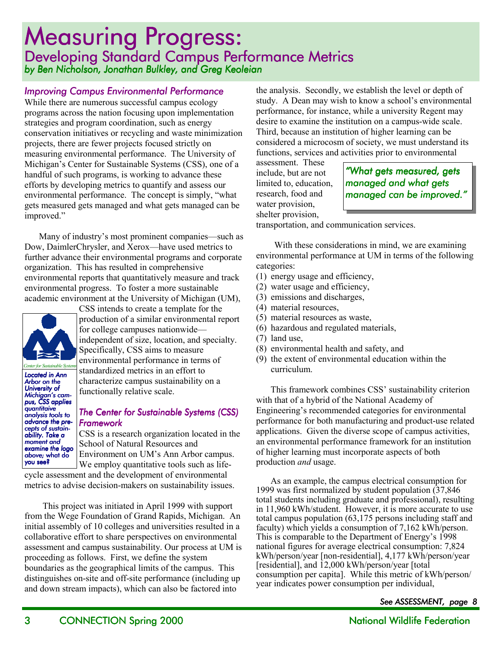### **Measuring Progress:** Developing Standard Campus Performance Metrics *by Ben Nicholson, Jonathan Bulkley, and Greg Keoleian*

#### *Improving Campus Environmental Performance*

While there are numerous successful campus ecology programs across the nation focusing upon implementation strategies and program coordination, such as energy conservation initiatives or recycling and waste minimization projects, there are fewer projects focused strictly on measuring environmental performance. The University of Michigan's Center for Sustainable Systems (CSS), one of a handful of such programs, is working to advance these efforts by developing metrics to quantify and assess our environmental performance. The concept is simply, "what gets measured gets managed and what gets managed can be improved."

Many of industry's most prominent companies—such as Dow, DaimlerChrysler, and Xerox—have used metrics to further advance their environmental programs and corporate organization. This has resulted in comprehensive environmental reports that quantitatively measure and track environmental progress. To foster a more sustainable academic environment at the University of Michigan (UM),



*Center for Sustainable Systems*

CSS intends to create a template for the production of a similar environmental report for college campuses nationwide independent of size, location, and specialty. Specifically, CSS aims to measure environmental performance in terms of

Located in **Ann** *Arbor on the University of Michiganís cam- Michiganís cam- pus, CSS applies quantitaive analysis tools to sis advance the pre- precepts of sustai sustain- cepts of ability. Take a moment and examine the logo above;* what do you see?

standardized metrics in an effort to characterize campus sustainability on a functionally relative scale.

#### *The Center for Sustainable Systems (CSS) Framework Framework*

CSS is a research organization located in the School of Natural Resources and Environment on UM's Ann Arbor campus. We employ quantitative tools such as life-

cycle assessment and the development of environmental metrics to advise decision-makers on sustainability issues.

This project was initiated in April 1999 with support from the Wege Foundation of Grand Rapids, Michigan. An initial assembly of 10 colleges and universities resulted in a collaborative effort to share perspectives on environmental assessment and campus sustainability. Our process at UM is proceeding as follows. First, we define the system boundaries as the geographical limits of the campus. This distinguishes on-site and off-site performance (including up and down stream impacts), which can also be factored into

the analysis. Secondly, we establish the level or depth of study. A Dean may wish to know a school's environmental performance, for instance, while a university Regent may desire to examine the institution on a campus-wide scale. Third, because an institution of higher learning can be considered a microcosm of society, we must understand its functions, services and activities prior to environmental

assessment. These include, but are not limited to, education, research, food and water provision, shelter provision,

*ìWhat gets measured, gets managed and what gets*  managed can be *improved.*<sup>"</sup>

transportation, and communication services.

With these considerations in mind, we are examining environmental performance at UM in terms of the following categories:

- (1) energy usage and efficiency,
- (2) water usage and efficiency,
- (3) emissions and discharges,
- (4) material resources,
- (5) material resources as waste,
- (6) hazardous and regulated materials,
- (7) land use,
- (8) environmental health and safety, and
- (9) the extent of environmental education within the curriculum.

This framework combines CSS' sustainability criterion with that of a hybrid of the National Academy of Engineering's recommended categories for environmental performance for both manufacturing and product-use related applications. Given the diverse scope of campus activities, an environmental performance framework for an institution of higher learning must incorporate aspects of both production *and* usage.

As an example, the campus electrical consumption for 1999 was first normalized by student population (37,846 total students including graduate and professional), resulting in 11,960 kWh/student. However, it is more accurate to use total campus population (63,175 persons including staff and faculty) which yields a consumption of 7,162 kWh/person. This is comparable to the Department of Energy's 1998 national figures for average electrical consumption: 7,824 kWh/person/year [non-residential], 4,177 kWh/person/year [residential], and 12,000 kWh/person/year [total consumption per capita]. While this metric of kWh/person/ year indicates power consumption per individual,

*See ASSESSMENT, page 8*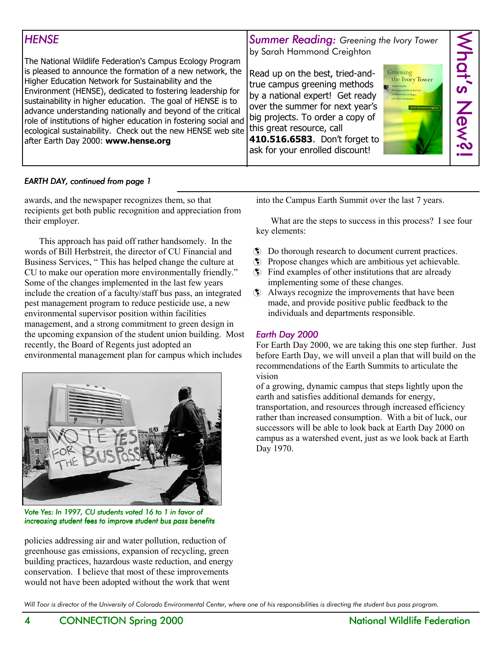| <b>HENSE</b><br>The National Wildlife Federation's Campus Ecology Program<br>is pleased to announce the formation of a new network, the<br>Higher Education Network for Sustainability and the<br>Environment (HENSE), dedicated to fostering leadership for<br>sustainability in higher education. The goal of HENSE is to<br>advance understanding nationally and beyond of the critical<br>role of institutions of higher education in fostering social and<br>ecological sustainability. Check out the new HENSE web site this great resource, call<br>after Earth Day 2000: www.hense.org | <b>Summer Reading:</b> Greening the Ivory Tower<br>by Sarah Hammond Creighton<br>Read up on the best, tried-and-<br>Greening<br>the Ivory Tower<br>true campus greening methods<br>Improving the<br>by a national expert! Get ready<br><b>Claiversities</b> Colleges<br>over the summer for next year's<br>rah Hammond Creightor<br>big projects. To order a copy of<br>410.516.6583. Don't forget to<br>ask for your enrolled discount! | $\leq$<br><b>Of<sup>2</sup></b><br>$\overline{\widetilde{\Theta}}$<br>$\sim$ |
|------------------------------------------------------------------------------------------------------------------------------------------------------------------------------------------------------------------------------------------------------------------------------------------------------------------------------------------------------------------------------------------------------------------------------------------------------------------------------------------------------------------------------------------------------------------------------------------------|------------------------------------------------------------------------------------------------------------------------------------------------------------------------------------------------------------------------------------------------------------------------------------------------------------------------------------------------------------------------------------------------------------------------------------------|------------------------------------------------------------------------------|
|------------------------------------------------------------------------------------------------------------------------------------------------------------------------------------------------------------------------------------------------------------------------------------------------------------------------------------------------------------------------------------------------------------------------------------------------------------------------------------------------------------------------------------------------------------------------------------------------|------------------------------------------------------------------------------------------------------------------------------------------------------------------------------------------------------------------------------------------------------------------------------------------------------------------------------------------------------------------------------------------------------------------------------------------|------------------------------------------------------------------------------|

#### *EARTH DAY, continued from page 1*

awards, and the newspaper recognizes them, so that recipients get both public recognition and appreciation from their employer.

This approach has paid off rather handsomely. In the words of Bill Herbstreit, the director of CU Financial and Business Services, "This has helped change the culture at CU to make our operation more environmentally friendly.<sup>"</sup> Some of the changes implemented in the last few years include the creation of a faculty/staff bus pass, an integrated pest management program to reduce pesticide use, a new environmental supervisor position within facilities management, and a strong commitment to green design in the upcoming expansion of the student union building. Most recently, the Board of Regents just adopted an environmental management plan for campus which includes



*Vote Yes: In 1997, CU students voted 16 to 1 in favor of increasing student fees to improve student bus pass benefits* 

policies addressing air and water pollution, reduction of greenhouse gas emissions, expansion of recycling, green building practices, hazardous waste reduction, and energy conservation. I believe that most of these improvements would not have been adopted without the work that went

into the Campus Earth Summit over the last 7 years.

What are the steps to success in this process? I see four key elements:

- ! Do thorough research to document current practices.
- ! Propose changes which are ambitious yet achievable.
- ! Find examples of other institutions that are already implementing some of these changes.
- ! Always recognize the improvements that have been made, and provide positive public feedback to the individuals and departments responsible.

#### *Earth Day 2000 Earth 2000*

For Earth Day 2000, we are taking this one step further. Just before Earth Day, we will unveil a plan that will build on the recommendations of the Earth Summits to articulate the vision

of a growing, dynamic campus that steps lightly upon the earth and satisfies additional demands for energy, transportation, and resources through increased efficiency rather than increased consumption. With a bit of luck, our successors will be able to look back at Earth Day 2000 on campus as a watershed event, just as we look back at Earth Day 1970.

Will Toor is director of the University of Colorado Environmental Center, where one of his responsibilities is directing the student bus pass program.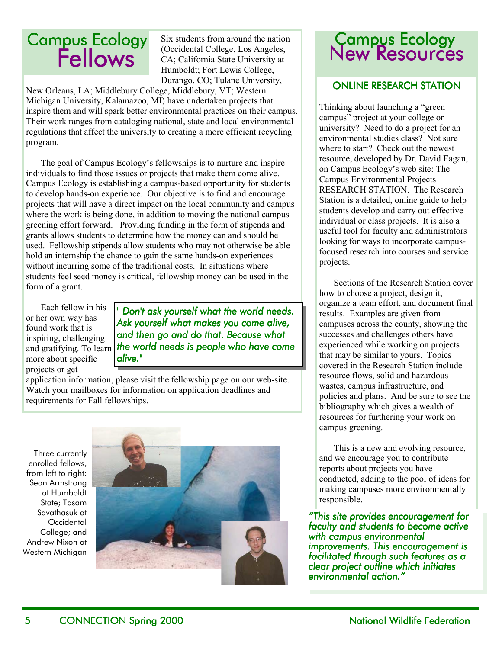# **Campus Ecology<br>Fellows**

Six students from around the nation (Occidental College, Los Angeles, CA; California State University at Humboldt; Fort Lewis College, Durango, CO; Tulane University,

New Orleans, LA; Middlebury College, Middlebury, VT; Western Michigan University, Kalamazoo, MI) have undertaken projects that inspire them and will spark better environmental practices on their campus. Their work ranges from cataloging national, state and local environmental regulations that affect the university to creating a more efficient recycling program.

The goal of Campus Ecology's fellowships is to nurture and inspire individuals to find those issues or projects that make them come alive. Campus Ecology is establishing a campus-based opportunity for students to develop hands-on experience. Our objective is to find and encourage projects that will have a direct impact on the local community and campus where the work is being done, in addition to moving the national campus greening effort forward. Providing funding in the form of stipends and grants allows students to determine how the money can and should be used. Fellowship stipends allow students who may not otherwise be able hold an internship the chance to gain the same hands-on experiences without incurring some of the traditional costs. In situations where students feel seed money is critical, fellowship money can be used in the form of a grant.

Each fellow in his or her own way has found work that is inspiring, challenging and gratifying. To learn more about specific projects or get

*" Don't ask yourself what the world needs. Ask yourself what makes you come alive, and then go and do that. Because what the world needs is people who have come alive."* 

application information, please visit the fellowship page on our web-site. Watch your mailboxes for information on application deadlines and requirements for Fall fellowships.

Three currently enrolled fellows, from left to right: Sean Armstrong at Humboldt State; Tasam Savathasuk at **Occidental** College; and Andrew Nixon at Western Michigan



## **Campus Ecology<br>New Resources**

#### **ONLINE RESEARCH STATION**

Thinking about launching a "green" campus" project at your college or university? Need to do a project for an environmental studies class? Not sure where to start? Check out the newest resource, developed by Dr. David Eagan, on Campus Ecology's web site: The Campus Environmental Projects RESEARCH STATION. The Research Station is a detailed, online guide to help students develop and carry out effective individual or class projects. It is also a useful tool for faculty and administrators looking for ways to incorporate campusfocused research into courses and service projects.

Sections of the Research Station cover how to choose a project, design it, organize a team effort, and document final results. Examples are given from campuses across the county, showing the successes and challenges others have experienced while working on projects that may be similar to yours. Topics covered in the Research Station include resource flows, solid and hazardous wastes, campus infrastructure, and policies and plans. And be sure to see the bibliography which gives a wealth of resources for furthering your work on campus greening.

This is a new and evolving resource, and we encourage you to contribute reports about projects you have conducted, adding to the pool of ideas for making campuses more environmentally responsible.

*ìThis site provides encouragement for faculty and students to become active with campus environmental improvements. This encouragement is facilitated through such features as a clear project outline which initiates*   $environmental action.$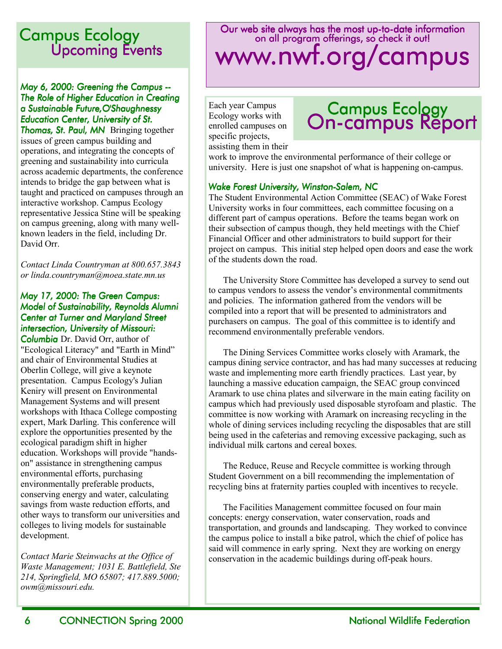### **Campus Ecology** Upcoming Events

#### *May 6, 2000: Greening the Campus -- Campus -- The Role of Higher Education in Creating a Sustainable Future,O'Shaughnessy Education Center, University of St.*

**Thomas, St. Paul, MN** Bringing together issues of green campus building and operations, and integrating the concepts of greening and sustainability into curricula across academic departments, the conference intends to bridge the gap between what is taught and practiced on campuses through an interactive workshop. Campus Ecology representative Jessica Stine will be speaking on campus greening, along with many wellknown leaders in the field, including Dr. David Orr.

*Contact Linda Countryman at 800.657.3843 or linda.countryman@moea.state.mn.us* 

#### *May 17, 2000: The Green Campus: Model of Sustainability, Reynolds Alumni Center at Turner and Maryland Street intersection, University of Missouri:*

*Columbia* Dr. David Orr, author of "Ecological Literacy" and "Earth in Mind" and chair of Environmental Studies at Oberlin College, will give a keynote presentation. Campus Ecology's Julian Keniry will present on Environmental Management Systems and will present workshops with Ithaca College composting expert, Mark Darling. This conference will explore the opportunities presented by the ecological paradigm shift in higher education. Workshops will provide "handson" assistance in strengthening campus environmental efforts, purchasing environmentally preferable products, conserving energy and water, calculating savings from waste reduction efforts, and other ways to transform our universities and colleges to living models for sustainable development.

*Contact Marie Steinwachs at the Office of Waste Management; 1031 E. Battlefield, Ste 214, Springfield, MO 65807; 417.889.5000; owm@missouri.edu.* 

### Our web site always has the most up-to-date information on all program offerings, so check it out! www.nwf.org/campus

Each year Campus Ecology works with enrolled campuses on specific projects, assisting them in their

## Campus Ecology<br>On-campus Report

work to improve the environmental performance of their college or university. Here is just one snapshot of what is happening on-campus.

#### *Wake Forest University, Winston-Salem, NC*

The Student Environmental Action Committee (SEAC) of Wake Forest University works in four committees, each committee focusing on a different part of campus operations. Before the teams began work on their subsection of campus though, they held meetings with the Chief Financial Officer and other administrators to build support for their project on campus. This initial step helped open doors and ease the work of the students down the road.

The University Store Committee has developed a survey to send out to campus vendors to assess the vendor's environmental commitments and policies. The information gathered from the vendors will be compiled into a report that will be presented to administrators and purchasers on campus. The goal of this committee is to identify and recommend environmentally preferable vendors.

The Dining Services Committee works closely with Aramark, the campus dining service contractor, and has had many successes at reducing waste and implementing more earth friendly practices. Last year, by launching a massive education campaign, the SEAC group convinced Aramark to use china plates and silverware in the main eating facility on campus which had previously used disposable styrofoam and plastic. The committee is now working with Aramark on increasing recycling in the whole of dining services including recycling the disposables that are still being used in the cafeterias and removing excessive packaging, such as individual milk cartons and cereal boxes.

The Reduce, Reuse and Recycle committee is working through Student Government on a bill recommending the implementation of recycling bins at fraternity parties coupled with incentives to recycle.

The Facilities Management committee focused on four main concepts: energy conservation, water conservation, roads and transportation, and grounds and landscaping. They worked to convince the campus police to install a bike patrol, which the chief of police has said will commence in early spring. Next they are working on energy conservation in the academic buildings during off-peak hours.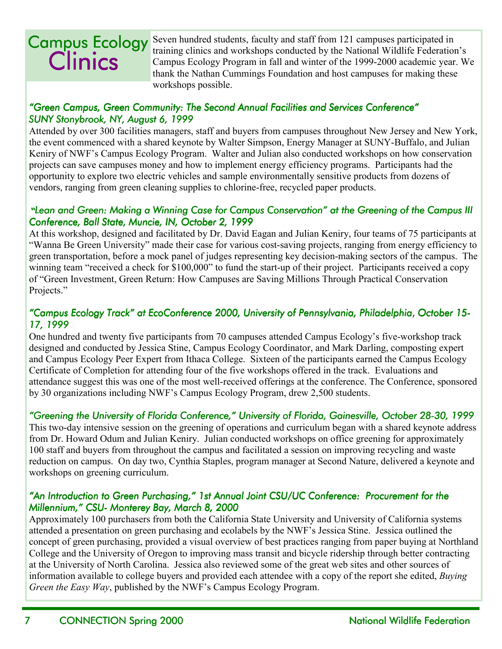## **Clinics** Campus Ecology

Seven hundred students, faculty and staff from 121 campuses participated in training clinics and workshops conducted by the National Wildlife Federation's Campus Ecology Program in fall and winter of the 1999-2000 academic year. We thank the Nathan Cummings Foundation and host campuses for making these workshops possible.

#### "Green Campus, Green Community: The Second Annual Facilities and Services Conference" *SUNY Stonybrook, NY, August 6, 1999*

Attended by over 300 facilities managers, staff and buyers from campuses throughout New Jersey and New York, the event commenced with a shared keynote by Walter Simpson, Energy Manager at SUNY-Buffalo, and Julian Keniry of NWF's Campus Ecology Program. Walter and Julian also conducted workshops on how conservation projects can save campuses money and how to implement energy efficiency programs. Participants had the opportunity to explore two electric vehicles and sample environmentally sensitive products from dozens of vendors, ranging from green cleaning supplies to chlorine-free, recycled paper products.

#### *"Lean and Green: Making a Winning Case for Campus Conservation" at the Greening of the Campus III Conference, Ball State, Muncie, IN, October 2, 1999*

At this workshop, designed and facilitated by Dr. David Eagan and Julian Keniry, four teams of 75 participants at ìWanna Be Green Universityî made their case for various cost-saving projects, ranging from energy efficiency to green transportation, before a mock panel of judges representing key decision-making sectors of the campus. The winning team "received a check for \$100,000" to fund the start-up of their project. Participants received a copy of "Green Investment, Green Return: How Campuses are Saving Millions Through Practical Conservation Projects."

#### *ìCampus Ecology Trackî at EcoConference 2000, University of Pennsylvania, Philadelphia ìCampus Ecology Trackî at EcoConference 2000, University of Pennsylvania, Philadelphia*, *October 15- 15- 17, 1999*

One hundred and twenty five participants from 70 campuses attended Campus Ecology's five-workshop track designed and conducted by Jessica Stine, Campus Ecology Coordinator, and Mark Darling, composting expert and Campus Ecology Peer Expert from Ithaca College. Sixteen of the participants earned the Campus Ecology Certificate of Completion for attending four of the five workshops offered in the track. Evaluations and attendance suggest this was one of the most well-received offerings at the conference. The Conference, sponsored by 30 organizations including NWF's Campus Ecology Program, drew 2,500 students.

#### *ìGreening the University of Florida Conference,î University of Florida, Gainesville, October 28 ìGreening of Conference,î University ,î 28-30, 1999 30, 1999*

This two-day intensive session on the greening of operations and curriculum began with a shared keynote address from Dr. Howard Odum and Julian Keniry. Julian conducted workshops on office greening for approximately 100 staff and buyers from throughout the campus and facilitated a session on improving recycling and waste reduction on campus. On day two, Cynthia Staples, program manager at Second Nature, delivered a keynote and workshops on greening curriculum.

#### *ìAn Introduction to Green Purchasing,î 1st Annual Joint CSU/UC Conference: Procurement for the Millennium," CSU- Monterey Bay, March 8, 2000*

Approximately 100 purchasers from both the California State University and University of California systems attended a presentation on green purchasing and ecolabels by the NWF's Jessica Stine. Jessica outlined the concept of green purchasing, provided a visual overview of best practices ranging from paper buying at Northland College and the University of Oregon to improving mass transit and bicycle ridership through better contracting at the University of North Carolina. Jessica also reviewed some of the great web sites and other sources of information available to college buyers and provided each attendee with a copy of the report she edited, *Buying Green the Easy Way*, published by the NWF's Campus Ecology Program.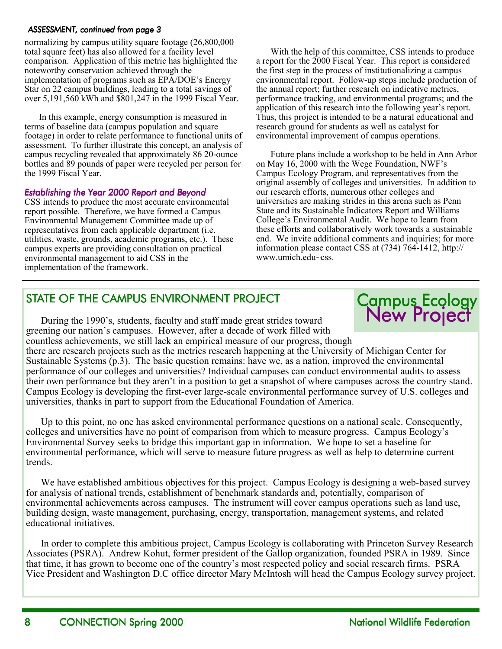#### *ASSESSMENT, continued from page 3*

normalizing by campus utility square footage (26,800,000 total square feet) has also allowed for a facility level comparison. Application of this metric has highlighted the noteworthy conservation achieved through the implementation of programs such as EPA/DOE's Energy Star on 22 campus buildings, leading to a total savings of over 5,191,560 kWh and \$801,247 in the 1999 Fiscal Year.

In this example, energy consumption is measured in terms of baseline data (campus population and square footage) in order to relate performance to functional units of assessment. To further illustrate this concept, an analysis of campus recycling revealed that approximately 86 20-ounce bottles and 89 pounds of paper were recycled per person for the 1999 Fiscal Year.

#### *Establishing the Year 2000 Report and Beyond the Year 2000 Report and Beyondishing Beyond*

CSS intends to produce the most accurate environmental report possible. Therefore, we have formed a Campus Environmental Management Committee made up of representatives from each applicable department (i.e. utilities, waste, grounds, academic programs, etc.). These campus experts are providing consultation on practical environmental management to aid CSS in the implementation of the framework.

With the help of this committee, CSS intends to produce a report for the 2000 Fiscal Year. This report is considered the first step in the process of institutionalizing a campus environmental report. Follow-up steps include production of the annual report; further research on indicative metrics, performance tracking, and environmental programs; and the application of this research into the following year's report. Thus, this project is intended to be a natural educational and research ground for students as well as catalyst for environmental improvement of campus operations.

Future plans include a workshop to be held in Ann Arbor on May 16, 2000 with the Wege Foundation, NWF's Campus Ecology Program, and representatives from the original assembly of colleges and universities. In addition to our research efforts, numerous other colleges and universities are making strides in this arena such as Penn State and its Sustainable Indicators Report and Williams College's Environmental Audit. We hope to learn from these efforts and collaboratively work towards a sustainable end. We invite additional comments and inquiries; for more information please contact CSS at (734) 764-1412, http:// www.umich.edu~css.

### STATE OF THE CAMPUS ENVIRONMENT PROJECT

During the 1990's, students, faculty and staff made great strides toward greening our nation's campuses. However, after a decade of work filled with countless achievements, we still lack an empirical measure of our progress, though

## New Project Campus Ecology

there are research projects such as the metrics research happening at the University of Michigan Center for Sustainable Systems (p.3). The basic question remains: have we, as a nation, improved the environmental performance of our colleges and universities? Individual campuses can conduct environmental audits to assess their own performance but they aren't in a position to get a snapshot of where campuses across the country stand. Campus Ecology is developing the first-ever large-scale environmental performance survey of U.S. colleges and universities, thanks in part to support from the Educational Foundation of America.

Up to this point, no one has asked environmental performance questions on a national scale. Consequently, colleges and universities have no point of comparison from which to measure progress. Campus Ecologyís Environmental Survey seeks to bridge this important gap in information. We hope to set a baseline for environmental performance, which will serve to measure future progress as well as help to determine current trends.

We have established ambitious objectives for this project. Campus Ecology is designing a web-based survey for analysis of national trends, establishment of benchmark standards and, potentially, comparison of environmental achievements across campuses. The instrument will cover campus operations such as land use, building design, waste management, purchasing, energy, transportation, management systems, and related educational initiatives.

In order to complete this ambitious project, Campus Ecology is collaborating with Princeton Survey Research Associates (PSRA). Andrew Kohut, former president of the Gallop organization, founded PSRA in 1989. Since that time, it has grown to become one of the country's most respected policy and social research firms. PSRA Vice President and Washington D.C office director Mary McIntosh will head the Campus Ecology survey project.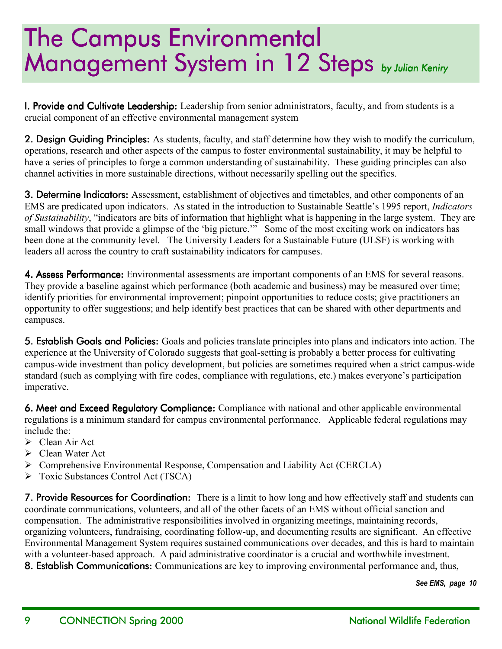## **The Campus Environmental** Management System in 12 Steps *by Julian Keniry*

**I. Provide and Cultivate Leadership:** Leadership from senior administrators, faculty, and from students is a crucial component of an effective environmental management system

2. Design Guiding Principles: As students, faculty, and staff determine how they wish to modify the curriculum, operations, research and other aspects of the campus to foster environmental sustainability, it may be helpful to have a series of principles to forge a common understanding of sustainability. These guiding principles can also channel activities in more sustainable directions, without necessarily spelling out the specifics.

3. Determine Indicators: Assessment, establishment of objectives and timetables, and other components of an EMS are predicated upon indicators. As stated in the introduction to Sustainable Seattleís 1995 report, *Indicators of Sustainability*, "indicators are bits of information that highlight what is happening in the large system. They are small windows that provide a glimpse of the 'big picture.'" Some of the most exciting work on indicators has been done at the community level. The University Leaders for a Sustainable Future (ULSF) is working with leaders all across the country to craft sustainability indicators for campuses.

4. Assess Performance: Environmental assessments are important components of an EMS for several reasons. They provide a baseline against which performance (both academic and business) may be measured over time; identify priorities for environmental improvement; pinpoint opportunities to reduce costs; give practitioners an opportunity to offer suggestions; and help identify best practices that can be shared with other departments and campuses.

5. Establish Goals and Policies: Goals and policies translate principles into plans and indicators into action. The experience at the University of Colorado suggests that goal-setting is probably a better process for cultivating campus-wide investment than policy development, but policies are sometimes required when a strict campus-wide standard (such as complying with fire codes, compliance with regulations, etc.) makes everyone's participation imperative.

6. Meet and Exceed Regulatory Compliance: Compliance with national and other applicable environmental regulations is a minimum standard for campus environmental performance. Applicable federal regulations may include the:

- $\triangleright$  Clean Air Act
- $\triangleright$  Clean Water Act
- ! Comprehensive Environmental Response, Compensation and Liability Act (CERCLA)
- > Toxic Substances Control Act (TSCA)

7. Provide Resources for Coordination: There is a limit to how long and how effectively staff and students can coordinate communications, volunteers, and all of the other facets of an EMS without official sanction and compensation. The administrative responsibilities involved in organizing meetings, maintaining records, organizing volunteers, fundraising, coordinating follow-up, and documenting results are significant. An effective Environmental Management System requires sustained communications over decades, and this is hard to maintain with a volunteer-based approach. A paid administrative coordinator is a crucial and worthwhile investment. 8. Establish Communications: Communications are key to improving environmental performance and, thus,

*See EMS, page 10*